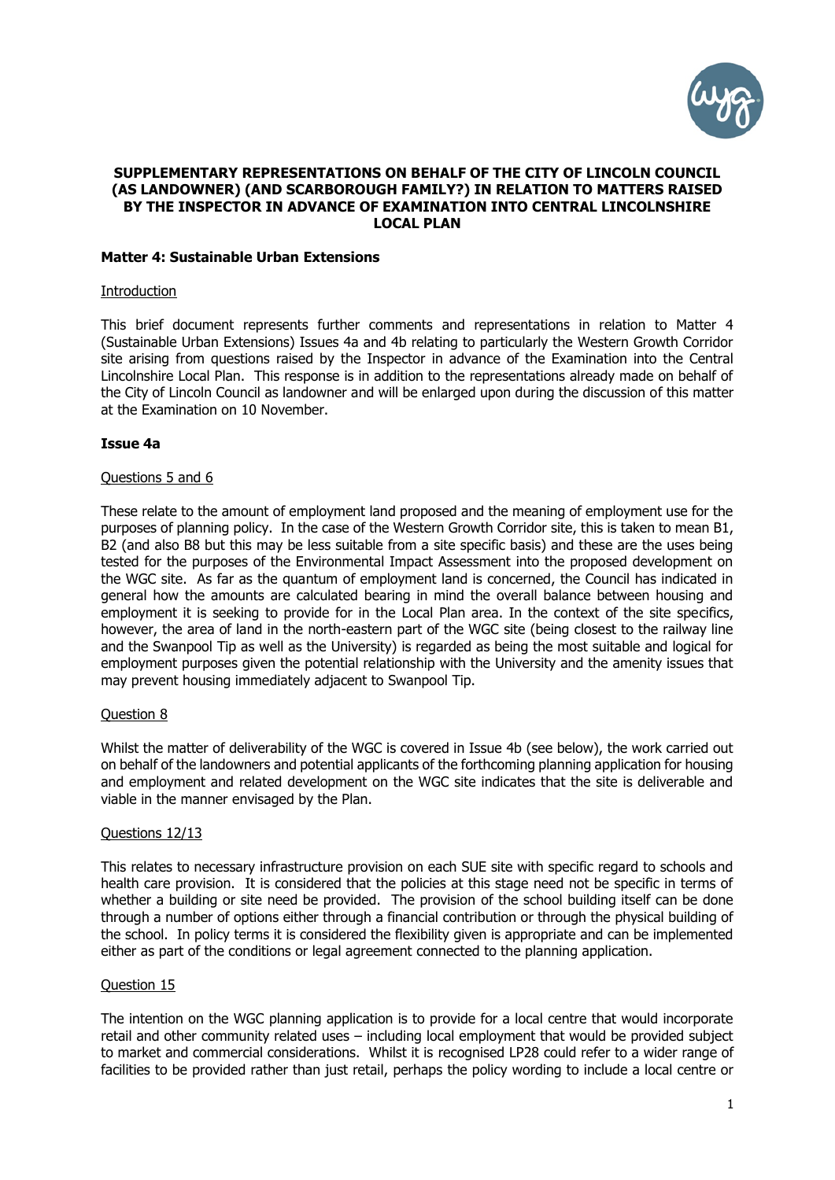

## **SUPPLEMENTARY REPRESENTATIONS ON BEHALF OF THE CITY OF LINCOLN COUNCIL (AS LANDOWNER) (AND SCARBOROUGH FAMILY?) IN RELATION TO MATTERS RAISED BY THE INSPECTOR IN ADVANCE OF EXAMINATION INTO CENTRAL LINCOLNSHIRE LOCAL PLAN**

## **Matter 4: Sustainable Urban Extensions**

### **Introduction**

This brief document represents further comments and representations in relation to Matter 4 (Sustainable Urban Extensions) Issues 4a and 4b relating to particularly the Western Growth Corridor site arising from questions raised by the Inspector in advance of the Examination into the Central Lincolnshire Local Plan. This response is in addition to the representations already made on behalf of the City of Lincoln Council as landowner and will be enlarged upon during the discussion of this matter at the Examination on 10 November.

## **Issue 4a**

### Questions 5 and 6

These relate to the amount of employment land proposed and the meaning of employment use for the purposes of planning policy. In the case of the Western Growth Corridor site, this is taken to mean B1, B2 (and also B8 but this may be less suitable from a site specific basis) and these are the uses being tested for the purposes of the Environmental Impact Assessment into the proposed development on the WGC site. As far as the quantum of employment land is concerned, the Council has indicated in general how the amounts are calculated bearing in mind the overall balance between housing and employment it is seeking to provide for in the Local Plan area. In the context of the site specifics, however, the area of land in the north-eastern part of the WGC site (being closest to the railway line and the Swanpool Tip as well as the University) is regarded as being the most suitable and logical for employment purposes given the potential relationship with the University and the amenity issues that may prevent housing immediately adjacent to Swanpool Tip.

### Question 8

Whilst the matter of deliverability of the WGC is covered in Issue 4b (see below), the work carried out on behalf of the landowners and potential applicants of the forthcoming planning application for housing and employment and related development on the WGC site indicates that the site is deliverable and viable in the manner envisaged by the Plan.

## Questions 12/13

This relates to necessary infrastructure provision on each SUE site with specific regard to schools and health care provision. It is considered that the policies at this stage need not be specific in terms of whether a building or site need be provided. The provision of the school building itself can be done through a number of options either through a financial contribution or through the physical building of the school. In policy terms it is considered the flexibility given is appropriate and can be implemented either as part of the conditions or legal agreement connected to the planning application.

### Question 15

The intention on the WGC planning application is to provide for a local centre that would incorporate retail and other community related uses – including local employment that would be provided subject to market and commercial considerations. Whilst it is recognised LP28 could refer to a wider range of facilities to be provided rather than just retail, perhaps the policy wording to include a local centre or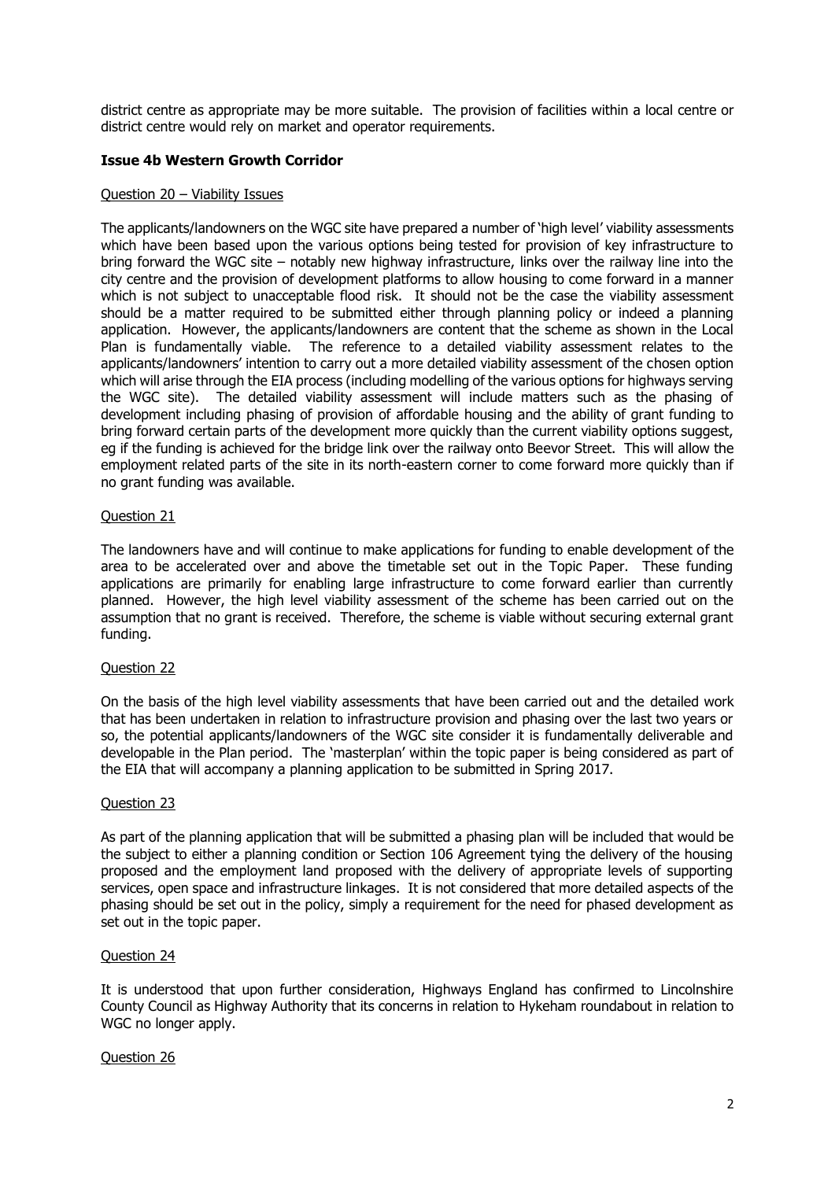district centre as appropriate may be more suitable. The provision of facilities within a local centre or district centre would rely on market and operator requirements.

# **Issue 4b Western Growth Corridor**

# Question 20 - Viability Issues

The applicants/landowners on the WGC site have prepared a number of 'high level' viability assessments which have been based upon the various options being tested for provision of key infrastructure to bring forward the WGC site – notably new highway infrastructure, links over the railway line into the city centre and the provision of development platforms to allow housing to come forward in a manner which is not subject to unacceptable flood risk. It should not be the case the viability assessment should be a matter required to be submitted either through planning policy or indeed a planning application. However, the applicants/landowners are content that the scheme as shown in the Local Plan is fundamentally viable. The reference to a detailed viability assessment relates to the applicants/landowners' intention to carry out a more detailed viability assessment of the chosen option which will arise through the EIA process (including modelling of the various options for highways serving the WGC site). The detailed viability assessment will include matters such as the phasing of development including phasing of provision of affordable housing and the ability of grant funding to bring forward certain parts of the development more quickly than the current viability options suggest, eg if the funding is achieved for the bridge link over the railway onto Beevor Street. This will allow the employment related parts of the site in its north-eastern corner to come forward more quickly than if no grant funding was available.

## Question 21

The landowners have and will continue to make applications for funding to enable development of the area to be accelerated over and above the timetable set out in the Topic Paper. These funding applications are primarily for enabling large infrastructure to come forward earlier than currently planned. However, the high level viability assessment of the scheme has been carried out on the assumption that no grant is received. Therefore, the scheme is viable without securing external grant funding.

## Question 22

On the basis of the high level viability assessments that have been carried out and the detailed work that has been undertaken in relation to infrastructure provision and phasing over the last two years or so, the potential applicants/landowners of the WGC site consider it is fundamentally deliverable and developable in the Plan period. The 'masterplan' within the topic paper is being considered as part of the EIA that will accompany a planning application to be submitted in Spring 2017.

### Question 23

As part of the planning application that will be submitted a phasing plan will be included that would be the subject to either a planning condition or Section 106 Agreement tying the delivery of the housing proposed and the employment land proposed with the delivery of appropriate levels of supporting services, open space and infrastructure linkages. It is not considered that more detailed aspects of the phasing should be set out in the policy, simply a requirement for the need for phased development as set out in the topic paper.

## Question 24

It is understood that upon further consideration, Highways England has confirmed to Lincolnshire County Council as Highway Authority that its concerns in relation to Hykeham roundabout in relation to WGC no longer apply.

### Question 26